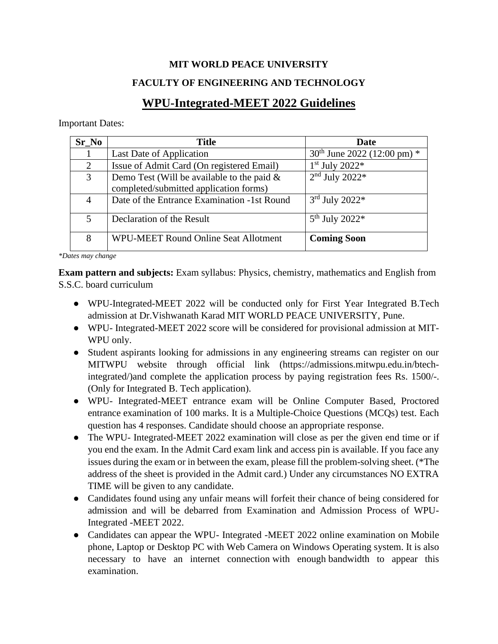## **MIT WORLD PEACE UNIVERSITY**

### **FACULTY OF ENGINEERING AND TECHNOLOGY**

# **WPU-Integrated-MEET 2022 Guidelines**

Important Dates:

| Sr No | Title                                                                                   | Date                          |
|-------|-----------------------------------------------------------------------------------------|-------------------------------|
|       | Last Date of Application                                                                | $30th$ June 2022 (12:00 pm) * |
| 2     | Issue of Admit Card (On registered Email)                                               | $1st$ July 2022*              |
| 3     | Demo Test (Will be available to the paid $\&$<br>completed/submitted application forms) | $2nd$ July 2022*              |
| 4     | Date of the Entrance Examination -1st Round                                             | $3rd$ July 2022*              |
| 5     | Declaration of the Result                                                               | $5^{th}$ July 2022*           |
| 8     | <b>WPU-MEET Round Online Seat Allotment</b>                                             | <b>Coming Soon</b>            |

*\*Dates may change*

**Exam pattern and subjects:** Exam syllabus: Physics, chemistry, mathematics and English from S.S.C. board curriculum

- WPU-Integrated-MEET 2022 will be conducted only for First Year Integrated B.Tech admission at Dr.Vishwanath Karad MIT WORLD PEACE UNIVERSITY, Pune.
- WPU- Integrated-MEET 2022 score will be considered for provisional admission at MIT-WPU only.
- Student aspirants looking for admissions in any engineering streams can register on our MITWPU website through official link (https://admissions.mitwpu.edu.in/btechintegrated/)and complete the application process by paying registration fees Rs. 1500/-. (Only for Integrated B. Tech application).
- WPU- Integrated-MEET entrance exam will be Online Computer Based, Proctored entrance examination of 100 marks. It is a Multiple-Choice Questions (MCQs) test. Each question has 4 responses. Candidate should choose an appropriate response.
- The WPU- Integrated-MEET 2022 examination will close as per the given end time or if you end the exam. In the Admit Card exam link and access pin is available. If you face any issues during the exam or in between the exam, please fill the problem-solving sheet. (\*The address of the sheet is provided in the Admit card.) Under any circumstances NO EXTRA TIME will be given to any candidate.
- Candidates found using any unfair means will forfeit their chance of being considered for admission and will be debarred from Examination and Admission Process of WPU-Integrated -MEET 2022.
- Candidates can appear the WPU- Integrated -MEET 2022 online examination on Mobile phone, Laptop or Desktop PC with Web Camera on Windows Operating system. It is also necessary to have an internet connection with enough bandwidth to appear this examination.